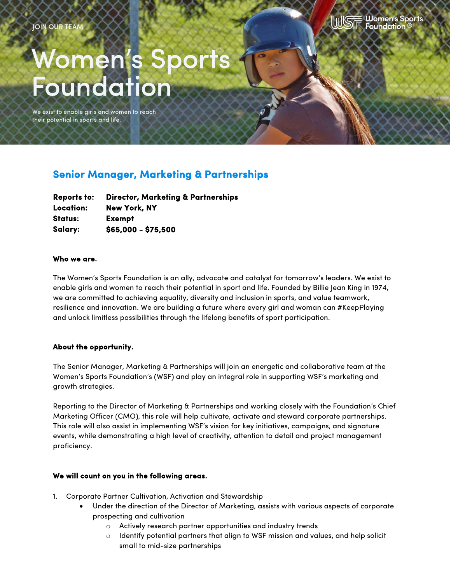

# **Women's Sport<br>Foundation**

We exist to enable girls and women to reach their potential in sports and life.

# **Senior Manager, Marketing & Partnerships**

| <b>Reports to:</b> | <b>Director, Marketing &amp; Partnerships</b> |
|--------------------|-----------------------------------------------|
| Location:          | <b>New York, NY</b>                           |
| Status:            | <b>Exempt</b>                                 |
| Salary:            | \$65,000 - \$75,500                           |

#### **Who we are.**

The Women's Sports Foundation is an ally, advocate and catalyst for tomorrow's leaders. We exist to enable girls and women to reach their potential in sport and life. Founded by Billie Jean King in 1974, we are committed to achieving equality, diversity and inclusion in sports, and value teamwork, resilience and innovation. We are building a future where every girl and woman can #KeepPlaying and unlock limitless possibilities through the lifelong benefits of sport participation.

#### **About the opportunity.**

The Senior Manager, Marketing & Partnerships will join an energetic and collaborative team at the Women's Sports Foundation's (WSF) and play an integral role in supporting WSF's marketing and growth strategies.

Reporting to the Director of Marketing & Partnerships and working closely with the Foundation's Chief Marketing Officer (CMO), this role will help cultivate, activate and steward corporate partnerships. This role will also assist in implementing WSF's vision for key initiatives, campaigns, and signature events, while demonstrating a high level of creativity, attention to detail and project management proficiency.

## **We will count on you in the following areas.**

- 1. Corporate Partner Cultivation, Activation and Stewardship
	- Under the direction of the Director of Marketing, assists with various aspects of corporate prospecting and cultivation
		- o Actively research partner opportunities and industry trends
		- $\circ$  Identify potential partners that align to WSF mission and values, and help solicit small to mid-size partnerships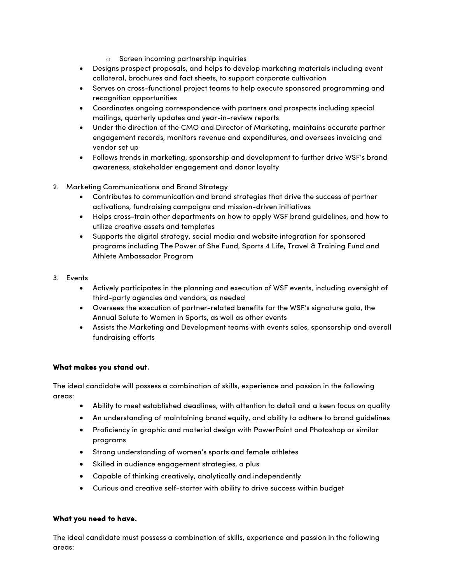- o Screen incoming partnership inquiries
- Designs prospect proposals, and helps to develop marketing materials including event collateral, brochures and fact sheets, to support corporate cultivation
- Serves on cross-functional project teams to help execute sponsored programming and recognition opportunities
- Coordinates ongoing correspondence with partners and prospects including special mailings, quarterly updates and year-in-review reports
- Under the direction of the CMO and Director of Marketing, maintains accurate partner engagement records, monitors revenue and expenditures, and oversees invoicing and vendor set up
- Follows trends in marketing, sponsorship and development to further drive WSF's brand awareness, stakeholder engagement and donor loyalty
- 2. Marketing Communications and Brand Strategy
	- Contributes to communication and brand strategies that drive the success of partner activations, fundraising campaigns and mission-driven initiatives
	- Helps cross-train other departments on how to apply WSF brand guidelines, and how to utilize creative assets and templates
	- Supports the digital strategy, social media and website integration for sponsored programs including The Power of She Fund, Sports 4 Life, Travel & Training Fund and Athlete Ambassador Program
- 3. Events
	- Actively participates in the planning and execution of WSF events, including oversight of third-party agencies and vendors, as needed
	- Oversees the execution of partner-related benefits for the WSF's signature gala, the Annual Salute to Women in Sports, as well as other events
	- Assists the Marketing and Development teams with events sales, sponsorship and overall fundraising efforts

# **What makes you stand out.**

The ideal candidate will possess a combination of skills, experience and passion in the following areas:

- Ability to meet established deadlines, with attention to detail and a keen focus on quality
- An understanding of maintaining brand equity, and ability to adhere to brand guidelines
- Proficiency in graphic and material design with PowerPoint and Photoshop or similar programs
- Strong understanding of women's sports and female athletes
- Skilled in audience engagement strategies, a plus
- Capable of thinking creatively, analytically and independently
- Curious and creative self-starter with ability to drive success within budget

## **What you need to have.**

The ideal candidate must possess a combination of skills, experience and passion in the following areas: